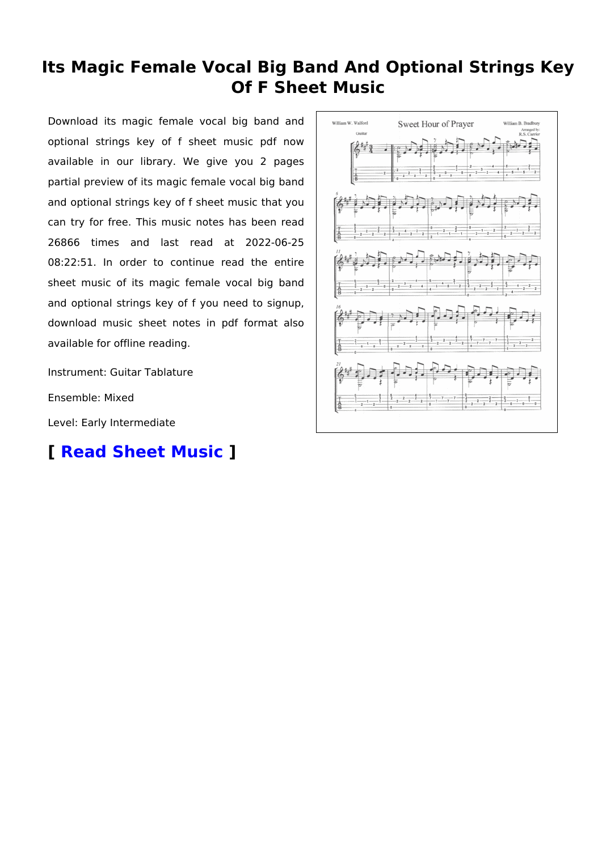# **Its Magic Female Vocal Big Band And Optional Strings Key Of F Sheet Music**

Download its magic female vocal big band and optional strings key of f sheet music pdf now available in our library. We give you 2 pages partial preview of its magic female vocal big band and optional strings key of f sheet music that you can try for free. This music notes has been read 26866 times and last read at 2022-06-25 08:22:51. In order to continue read the entire sheet music of its magic female vocal big band and optional strings key of f you need to signup, download music sheet notes in pdf format also available for offline reading.

Instrument: Guitar Tablature

Ensemble: Mixed

Level: Early Intermediate

# **[ [Read Sheet Music](https://musicsheets.org/its-magic-female-vocal-big-band-and-optional-strings-key-of-f/) ]**

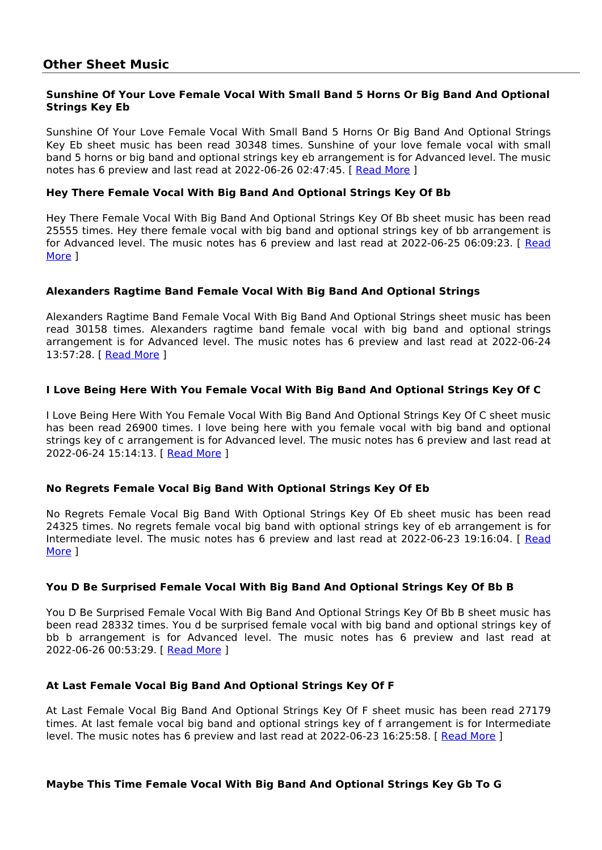# **Sunshine Of Your Love Female Vocal With Small Band 5 Horns Or Big Band And Optional Strings Key Eb**

Sunshine Of Your Love Female Vocal With Small Band 5 Horns Or Big Band And Optional Strings Key Eb sheet music has been read 30348 times. Sunshine of your love female vocal with small band 5 horns or big band and optional strings key eb arrangement is for Advanced level. The music notes has 6 preview and last read at 2022-06-26 02:47:45. [[Read More](https://musicsheets.org/pdf/sunshine-of-your-love-female-vocal-with-small-band-5-horns-or-big-band-and-optional-strings-key-eb.pdf) ]

# **Hey There Female Vocal With Big Band And Optional Strings Key Of Bb**

Hey There Female Vocal With Big Band And Optional Strings Key Of Bb sheet music has been read 25555 times. Hey there female vocal with big band and optional strings key of bb arrangement is for Advanced level. The music notes has 6 preview and last read at 2022-06-25 06:09:23. [ [Read](https://musicsheets.org/pdf/hey-there-female-vocal-with-big-band-and-optional-strings-key-of-bb.pdf) [More](https://musicsheets.org/pdf/hey-there-female-vocal-with-big-band-and-optional-strings-key-of-bb.pdf) ]

# **Alexanders Ragtime Band Female Vocal With Big Band And Optional Strings**

Alexanders Ragtime Band Female Vocal With Big Band And Optional Strings sheet music has been read 30158 times. Alexanders ragtime band female vocal with big band and optional strings arrangement is for Advanced level. The music notes has 6 preview and last read at 2022-06-24 13:57:28. [ [Read More](https://musicsheets.org/pdf/alexanders-ragtime-band-female-vocal-with-big-band-and-optional-strings.pdf) ]

# **I Love Being Here With You Female Vocal With Big Band And Optional Strings Key Of C**

I Love Being Here With You Female Vocal With Big Band And Optional Strings Key Of C sheet music has been read 26900 times. I love being here with you female vocal with big band and optional strings key of c arrangement is for Advanced level. The music notes has 6 preview and last read at 2022-06-24 15:14:13. [ [Read More](https://musicsheets.org/pdf/i-love-being-here-with-you-female-vocal-with-big-band-and-optional-strings-key-of-c.pdf) ]

### **No Regrets Female Vocal Big Band With Optional Strings Key Of Eb**

No Regrets Female Vocal Big Band With Optional Strings Key Of Eb sheet music has been read 24325 times. No regrets female vocal big band with optional strings key of eb arrangement is for Intermediate level. The music notes has 6 preview and last read at 2022-06-23 19:16:04. [ [Read](https://musicsheets.org/pdf/no-regrets-female-vocal-big-band-with-optional-strings-key-of-eb.pdf) [More](https://musicsheets.org/pdf/no-regrets-female-vocal-big-band-with-optional-strings-key-of-eb.pdf) ]

### **You D Be Surprised Female Vocal With Big Band And Optional Strings Key Of Bb B**

You D Be Surprised Female Vocal With Big Band And Optional Strings Key Of Bb B sheet music has been read 28332 times. You d be surprised female vocal with big band and optional strings key of bb b arrangement is for Advanced level. The music notes has 6 preview and last read at 2022-06-26 00:53:29. [ [Read More](https://musicsheets.org/pdf/you-d-be-surprised-female-vocal-with-big-band-and-optional-strings-key-of-bb-b.pdf) ]

### **At Last Female Vocal Big Band And Optional Strings Key Of F**

At Last Female Vocal Big Band And Optional Strings Key Of F sheet music has been read 27179 times. At last female vocal big band and optional strings key of f arrangement is for Intermediate level. The music notes has 6 preview and last read at 2022-06-23 16:25:58. [ [Read More](https://musicsheets.org/pdf/at-last-female-vocal-big-band-and-optional-strings-key-of-f.pdf) ]

### **Maybe This Time Female Vocal With Big Band And Optional Strings Key Gb To G**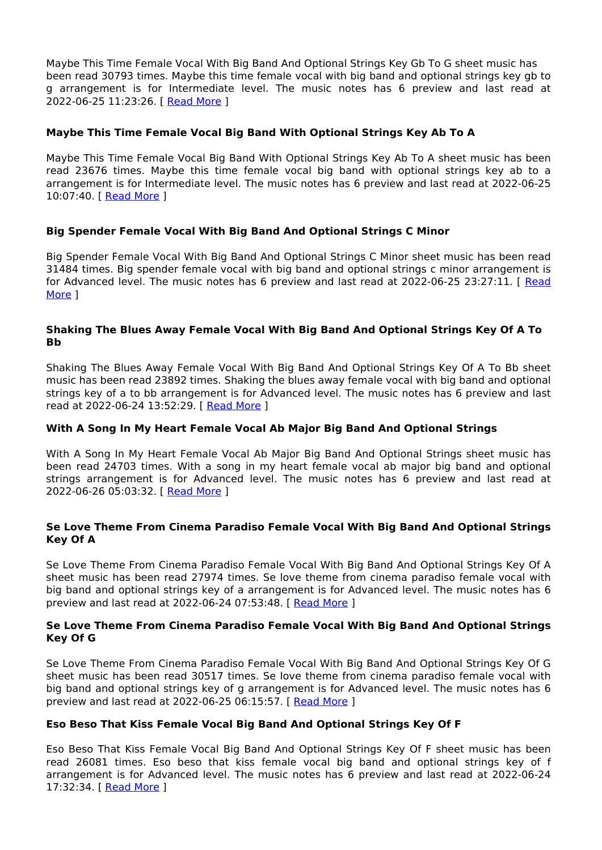Maybe This Time Female Vocal With Big Band And Optional Strings Key Gb To G sheet music has been read 30793 times. Maybe this time female vocal with big band and optional strings key gb to g arrangement is for Intermediate level. The music notes has 6 preview and last read at 2022-06-25 11:23:26. [ [Read More](https://musicsheets.org/pdf/maybe-this-time-female-vocal-with-big-band-and-optional-strings-key-gb-to-g.pdf) ]

# **Maybe This Time Female Vocal Big Band With Optional Strings Key Ab To A**

Maybe This Time Female Vocal Big Band With Optional Strings Key Ab To A sheet music has been read 23676 times. Maybe this time female vocal big band with optional strings key ab to a arrangement is for Intermediate level. The music notes has 6 preview and last read at 2022-06-25 10:07:40. [ [Read More](https://musicsheets.org/pdf/maybe-this-time-female-vocal-big-band-with-optional-strings-key-ab-to-a.pdf) ]

# **Big Spender Female Vocal With Big Band And Optional Strings C Minor**

Big Spender Female Vocal With Big Band And Optional Strings C Minor sheet music has been read 31484 times. Big spender female vocal with big band and optional strings c minor arrangement is for Advanced level. The music notes has 6 preview and last read at 2022-06-25 23:27:11. [ [Read](https://musicsheets.org/pdf/big-spender-female-vocal-with-big-band-and-optional-strings-c-minor.pdf) [More](https://musicsheets.org/pdf/big-spender-female-vocal-with-big-band-and-optional-strings-c-minor.pdf) ]

# **Shaking The Blues Away Female Vocal With Big Band And Optional Strings Key Of A To Bb**

Shaking The Blues Away Female Vocal With Big Band And Optional Strings Key Of A To Bb sheet music has been read 23892 times. Shaking the blues away female vocal with big band and optional strings key of a to bb arrangement is for Advanced level. The music notes has 6 preview and last read at 2022-06-24 13:52:29. [ [Read More](https://musicsheets.org/pdf/shaking-the-blues-away-female-vocal-with-big-band-and-optional-strings-key-of-a-to-bb.pdf) ]

## **With A Song In My Heart Female Vocal Ab Major Big Band And Optional Strings**

With A Song In My Heart Female Vocal Ab Major Big Band And Optional Strings sheet music has been read 24703 times. With a song in my heart female vocal ab major big band and optional strings arrangement is for Advanced level. The music notes has 6 preview and last read at 2022-06-26 05:03:32. [ [Read More](https://musicsheets.org/pdf/with-a-song-in-my-heart-female-vocal-ab-major-big-band-and-optional-strings.pdf) ]

# **Se Love Theme From Cinema Paradiso Female Vocal With Big Band And Optional Strings Key Of A**

Se Love Theme From Cinema Paradiso Female Vocal With Big Band And Optional Strings Key Of A sheet music has been read 27974 times. Se love theme from cinema paradiso female vocal with big band and optional strings key of a arrangement is for Advanced level. The music notes has 6 preview and last read at 2022-06-24 07:53:48. [ [Read More](https://musicsheets.org/pdf/se-love-theme-from-cinema-paradiso-female-vocal-with-big-band-and-optional-strings-key-of-a.pdf) ]

# **Se Love Theme From Cinema Paradiso Female Vocal With Big Band And Optional Strings Key Of G**

Se Love Theme From Cinema Paradiso Female Vocal With Big Band And Optional Strings Key Of G sheet music has been read 30517 times. Se love theme from cinema paradiso female vocal with big band and optional strings key of g arrangement is for Advanced level. The music notes has 6 preview and last read at 2022-06-25 06:15:57. [ [Read More](https://musicsheets.org/pdf/se-love-theme-from-cinema-paradiso-female-vocal-with-big-band-and-optional-strings-key-of-g.pdf) ]

### **Eso Beso That Kiss Female Vocal Big Band And Optional Strings Key Of F**

Eso Beso That Kiss Female Vocal Big Band And Optional Strings Key Of F sheet music has been read 26081 times. Eso beso that kiss female vocal big band and optional strings key of f arrangement is for Advanced level. The music notes has 6 preview and last read at 2022-06-24 17:32:34. [ [Read More](https://musicsheets.org/pdf/eso-beso-that-kiss-female-vocal-big-band-and-optional-strings-key-of-f.pdf) ]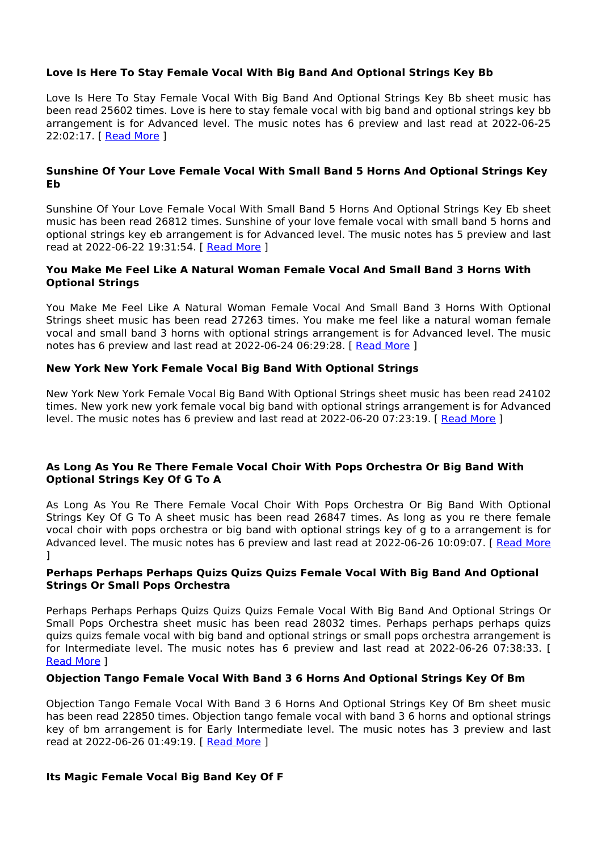# **Love Is Here To Stay Female Vocal With Big Band And Optional Strings Key Bb**

Love Is Here To Stay Female Vocal With Big Band And Optional Strings Key Bb sheet music has been read 25602 times. Love is here to stay female vocal with big band and optional strings key bb arrangement is for Advanced level. The music notes has 6 preview and last read at 2022-06-25 22:02:17. [ [Read More](https://musicsheets.org/pdf/love-is-here-to-stay-female-vocal-with-big-band-and-optional-strings-key-bb.pdf) ]

# **Sunshine Of Your Love Female Vocal With Small Band 5 Horns And Optional Strings Key Eb**

Sunshine Of Your Love Female Vocal With Small Band 5 Horns And Optional Strings Key Eb sheet music has been read 26812 times. Sunshine of your love female vocal with small band 5 horns and optional strings key eb arrangement is for Advanced level. The music notes has 5 preview and last read at 2022-06-22 19:31:54. [ [Read More](https://musicsheets.org/pdf/sunshine-of-your-love-female-vocal-with-small-band-5-horns-and-optional-strings-key-eb.pdf) ]

# **You Make Me Feel Like A Natural Woman Female Vocal And Small Band 3 Horns With Optional Strings**

You Make Me Feel Like A Natural Woman Female Vocal And Small Band 3 Horns With Optional Strings sheet music has been read 27263 times. You make me feel like a natural woman female vocal and small band 3 horns with optional strings arrangement is for Advanced level. The music notes has 6 preview and last read at 2022-06-24 06:29:28. [ [Read More](https://musicsheets.org/pdf/you-make-me-feel-like-a-natural-woman-female-vocal-and-small-band-3-horns-with-optional-strings.pdf) ]

# **New York New York Female Vocal Big Band With Optional Strings**

New York New York Female Vocal Big Band With Optional Strings sheet music has been read 24102 times. New york new york female vocal big band with optional strings arrangement is for Advanced level. The music notes has 6 preview and last read at 2022-06-20 07:23:19. [ [Read More](https://musicsheets.org/pdf/new-york-new-york-female-vocal-big-band-with-optional-strings.pdf) ]

# **As Long As You Re There Female Vocal Choir With Pops Orchestra Or Big Band With Optional Strings Key Of G To A**

As Long As You Re There Female Vocal Choir With Pops Orchestra Or Big Band With Optional Strings Key Of G To A sheet music has been read 26847 times. As long as you re there female vocal choir with pops orchestra or big band with optional strings key of g to a arrangement is for Advanced level. The music notes has 6 preview and last read at 2022-06-26 10:09:07. [ [Read More](https://musicsheets.org/pdf/as-long-as-you-re-there-female-vocal-choir-with-pops-orchestra-or-big-band-with-optional-strings-key-of-g-to-a.pdf) ]

### **Perhaps Perhaps Perhaps Quizs Quizs Quizs Female Vocal With Big Band And Optional Strings Or Small Pops Orchestra**

Perhaps Perhaps Perhaps Quizs Quizs Quizs Female Vocal With Big Band And Optional Strings Or Small Pops Orchestra sheet music has been read 28032 times. Perhaps perhaps perhaps quizs quizs quizs female vocal with big band and optional strings or small pops orchestra arrangement is for Intermediate level. The music notes has 6 preview and last read at 2022-06-26 07:38:33. [ [Read More](https://musicsheets.org/pdf/perhaps-perhaps-perhaps-quizs-quizs-quizs-female-vocal-with-big-band-and-optional-strings-or-small-pops-orchestra.pdf) ]

### **Objection Tango Female Vocal With Band 3 6 Horns And Optional Strings Key Of Bm**

Objection Tango Female Vocal With Band 3 6 Horns And Optional Strings Key Of Bm sheet music has been read 22850 times. Objection tango female vocal with band 3 6 horns and optional strings key of bm arrangement is for Early Intermediate level. The music notes has 3 preview and last read at 2022-06-26 01:49:19. [ [Read More](https://musicsheets.org/pdf/objection-tango-female-vocal-with-band-3-6-horns-and-optional-strings-key-of-bm.pdf) ]

### **Its Magic Female Vocal Big Band Key Of F**